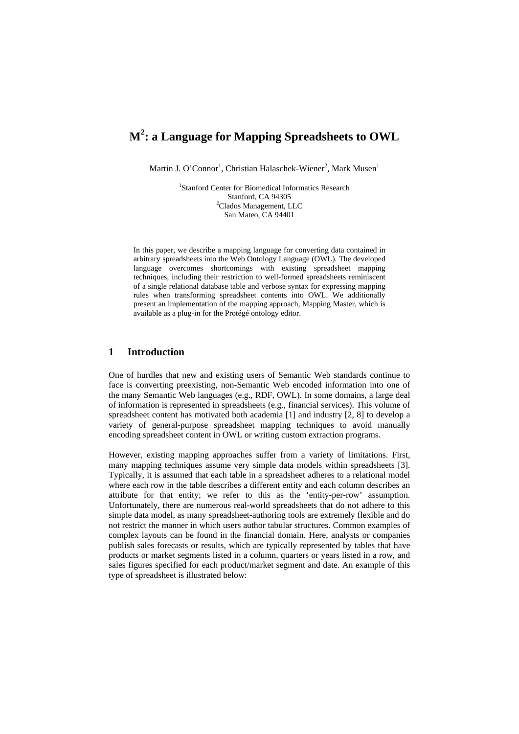# **M<sup>2</sup> : a Language for Mapping Spreadsheets to OWL**

Martin J. O'Connor<sup>1</sup>, Christian Halaschek-Wiener<sup>2</sup>, Mark Musen<sup>1</sup>

1 Stanford Center for Biomedical Informatics Research Stanford, CA 94305 <sup>2</sup>Clados Management, LLC San Mateo, CA 94401

In this paper, we describe a mapping language for converting data contained in arbitrary spreadsheets into the Web Ontology Language (OWL). The developed language overcomes shortcomings with existing spreadsheet mapping techniques, including their restriction to well-formed spreadsheets reminiscent of a single relational database table and verbose syntax for expressing mapping rules when transforming spreadsheet contents into OWL. We additionally present an implementation of the mapping approach, Mapping Master, which is available as a plug-in for the Protégé ontology editor.

## **1 Introduction**

One of hurdles that new and existing users of Semantic Web standards continue to face is converting preexisting, non-Semantic Web encoded information into one of the many Semantic Web languages (e.g., RDF, OWL). In some domains, a large deal of information is represented in spreadsheets (e.g., financial services). This volume of spreadsheet content has motivated both academia [1] and industry [2, 8] to develop a variety of general-purpose spreadsheet mapping techniques to avoid manually encoding spreadsheet content in OWL or writing custom extraction programs.

However, existing mapping approaches suffer from a variety of limitations. First, many mapping techniques assume very simple data models within spreadsheets [3]. Typically, it is assumed that each table in a spreadsheet adheres to a relational model where each row in the table describes a different entity and each column describes an attribute for that entity; we refer to this as the 'entity-per-row' assumption. Unfortunately, there are numerous real-world spreadsheets that do not adhere to this simple data model, as many spreadsheet-authoring tools are extremely flexible and do not restrict the manner in which users author tabular structures. Common examples of complex layouts can be found in the financial domain. Here, analysts or companies publish sales forecasts or results, which are typically represented by tables that have products or market segments listed in a column, quarters or years listed in a row, and sales figures specified for each product/market segment and date. An example of this type of spreadsheet is illustrated below: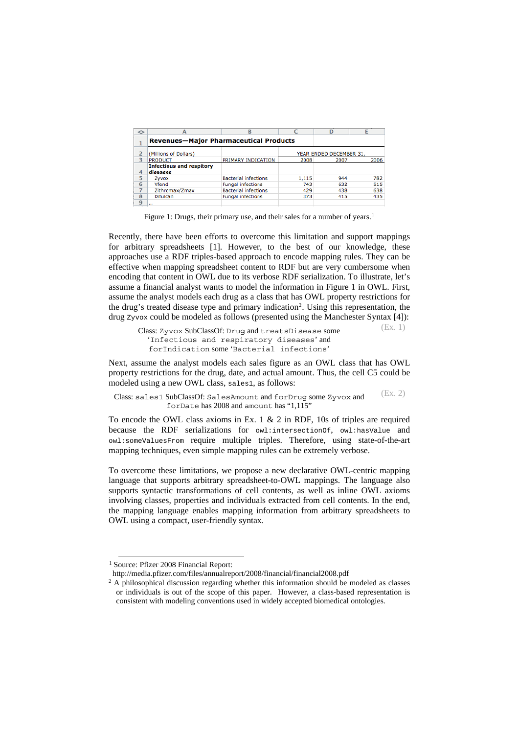| ◇ |                                               | B                           |       | D                       |      |
|---|-----------------------------------------------|-----------------------------|-------|-------------------------|------|
| ┻ | <b>Revenues-Major Pharmaceutical Products</b> |                             |       |                         |      |
|   | (Millions of Dollars)                         |                             |       | YEAR ENDED DECEMBER 31. |      |
| 3 | <b>PRODUCT</b>                                | PRIMARY INDICATION          | 2008  | 2007                    | 2006 |
| 4 | <b>Infectious and respitory</b><br>diseases   |                             |       |                         |      |
| 5 | Zyvox                                         | <b>Bacterial infections</b> | 1,115 | 944                     | 782  |
| 6 | Vfend                                         | Fungal infections           | 743   | 632                     | 515  |
|   | Zithromax/Zmax                                | <b>Bacterial infections</b> | 429   | 438                     | 638  |
| 8 | Difulcan                                      | Fungal infections           | 373   | 415                     | 435  |
| 9 | 1.11                                          |                             |       |                         |      |

Figure [1](#page-1-0): Drugs, their primary use, and their sales for a number of years.<sup>1</sup>

Recently, there have been efforts to overcome this limitation and support mappings for arbitrary spreadsheets [1]. However, to the best of our knowledge, these approaches use a RDF triples-based approach to encode mapping rules. They can be effective when mapping spreadsheet content to RDF but are very cumbersome when encoding that content in OWL due to its verbose RDF serialization. To illustrate, let's assume a financial analyst wants to model the information in Figure 1 in OWL. First, assume the analyst models each drug as a class that has OWL property restrictions for the drug's treated disease type and primary indication<sup>[2](#page-1-1)</sup>. Using this representation, the drug zyvox could be modeled as follows (presented using the Manchester Syntax [4]): (Ex. 1)

Class: Zyvox SubClassOf: Drug and treatsDisease some 'Infectious and respiratory diseases' and forIndication some 'Bacterial infections'

Next, assume the analyst models each sales figure as an OWL class that has OWL property restrictions for the drug, date, and actual amount. Thus, the cell C5 could be modeled using a new OWL class, sales1, as follows:

Class: sales1 SubClassOf: SalesAmount and forDrug some Zyvox and forDate has 2008 and amount has "1,115" (Ex. 2)

To encode the OWL class axioms in Ex. 1 & 2 in RDF, 10s of triples are required because the RDF serializations for owl:intersectionOf, owl:hasValue and owl:someValuesFrom require multiple triples. Therefore, using state-of-the-art mapping techniques, even simple mapping rules can be extremely verbose.

To overcome these limitations, we propose a new declarative OWL-centric mapping language that supports arbitrary spreadsheet-to-OWL mappings. The language also supports syntactic transformations of cell contents, as well as inline OWL axioms involving classes, properties and individuals extracted from cell contents. In the end, the mapping language enables mapping information from arbitrary spreadsheets to OWL using a compact, user-friendly syntax.

<span id="page-1-0"></span>

<sup>&</sup>lt;sup>1</sup> Source: Pfizer 2008 Financial Report:<br>http://media.pfizer.com/files/annualreport/2008/financial/financial2008.pdf

<span id="page-1-1"></span> $2$  A philosophical discussion regarding whether this information should be modeled as classes or individuals is out of the scope of this paper. However, a class-based representation is consistent with modeling conventions used in widely accepted biomedical ontologies.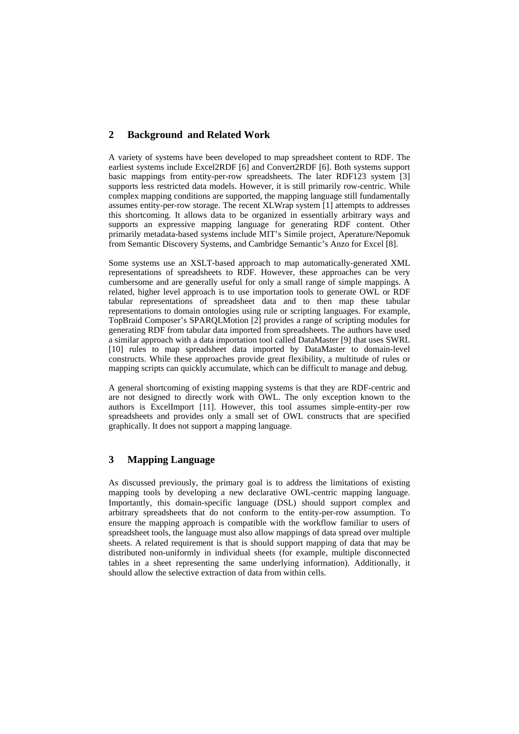# **2 Background and Related Work**

A variety of systems have been developed to map spreadsheet content to RDF. The earliest systems include Excel2RDF [6] and Convert2RDF [6]. Both systems support basic mappings from entity-per-row spreadsheets. The later RDF123 system [3] supports less restricted data models. However, it is still primarily row-centric. While complex mapping conditions are supported, the mapping language still fundamentally assumes entity-per-row storage. The recent XLWrap system [1] attempts to addresses this shortcoming. It allows data to be organized in essentially arbitrary ways and supports an expressive mapping language for generating RDF content. Other primarily metadata-based systems include MIT's Simile project, Aperature/Nepomuk from Semantic Discovery Systems, and Cambridge Semantic's Anzo for Excel [8].

Some systems use an XSLT-based approach to map automatically-generated XML representations of spreadsheets to RDF. However, these approaches can be very cumbersome and are generally useful for only a small range of simple mappings. A related, higher level approach is to use importation tools to generate OWL or RDF tabular representations of spreadsheet data and to then map these tabular representations to domain ontologies using rule or scripting languages. For example, TopBraid Composer's SPARQLMotion [2] provides a range of scripting modules for generating RDF from tabular data imported from spreadsheets. The authors have used a similar approach with a data importation tool called DataMaster [9] that uses SWRL [10] rules to map spreadsheet data imported by DataMaster to domain-level constructs. While these approaches provide great flexibility, a multitude of rules or mapping scripts can quickly accumulate, which can be difficult to manage and debug.

A general shortcoming of existing mapping systems is that they are RDF-centric and are not designed to directly work with OWL. The only exception known to the authors is ExcelImport [11]. However, this tool assumes simple-entity-per row spreadsheets and provides only a small set of OWL constructs that are specified graphically. It does not support a mapping language.

# **3 Mapping Language**

As discussed previously, the primary goal is to address the limitations of existing mapping tools by developing a new declarative OWL-centric mapping language. Importantly, this domain-specific language (DSL) should support complex and arbitrary spreadsheets that do not conform to the entity-per-row assumption. To ensure the mapping approach is compatible with the workflow familiar to users of spreadsheet tools, the language must also allow mappings of data spread over multiple sheets. A related requirement is that is should support mapping of data that may be distributed non-uniformly in individual sheets (for example, multiple disconnected tables in a sheet representing the same underlying information). Additionally, it should allow the selective extraction of data from within cells.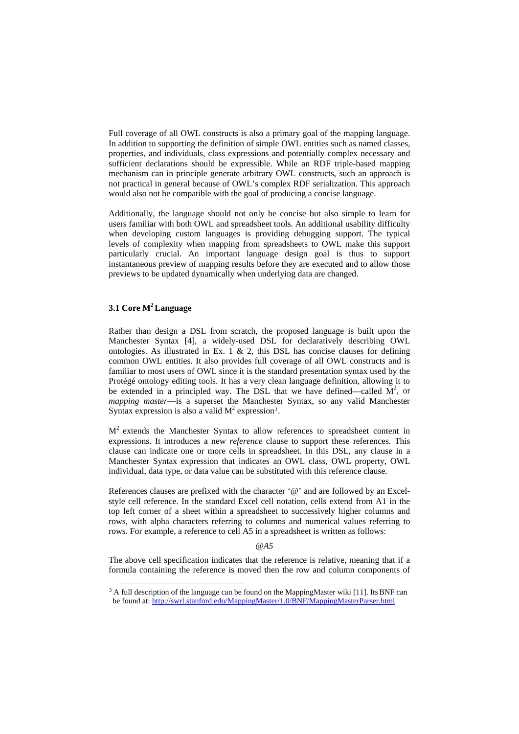Full coverage of all OWL constructs is also a primary goal of the mapping language. In addition to supporting the definition of simple OWL entities such as named classes, properties, and individuals, class expressions and potentially complex necessary and sufficient declarations should be expressible. While an RDF triple-based mapping mechanism can in principle generate arbitrary OWL constructs, such an approach is not practical in general because of OWL's complex RDF serialization. This approach would also not be compatible with the goal of producing a concise language.

Additionally, the language should not only be concise but also simple to learn for users familiar with both OWL and spreadsheet tools. An additional usability difficulty when developing custom languages is providing debugging support. The typical levels of complexity when mapping from spreadsheets to OWL make this support particularly crucial. An important language design goal is thus to support instantaneous preview of mapping results before they are executed and to allow those previews to be updated dynamically when underlying data are changed.

## **3.1 Core M2 Language**

Rather than design a DSL from scratch, the proposed language is built upon the Manchester Syntax [4], a widely-used DSL for declaratively describing OWL ontologies. As illustrated in Ex. 1  $\&$  2, this DSL has concise clauses for defining common OWL entities. It also provides full coverage of all OWL constructs and is familiar to most users of OWL since it is the standard presentation syntax used by the Protégé ontology editing tools. It has a very clean language definition, allowing it to be extended in a principled way. The DSL that we have defined—called  $M^2$ , or *mapping master*—is a superset the Manchester Syntax, so any valid Manchester Syntax expression is also a valid  $M^2$  expression<sup>3</sup>.

 $M<sup>2</sup>$  extends the Manchester Syntax to allow references to spreadsheet content in expressions. It introduces a new *reference* clause to support these references. This clause can indicate one or more cells in spreadsheet. In this DSL, any clause in a Manchester Syntax expression that indicates an OWL class, OWL property, OWL individual, data type, or data value can be substituted with this reference clause.

References clauses are prefixed with the character '@' and are followed by an Excelstyle cell reference. In the standard Excel cell notation, cells extend from A1 in the top left corner of a sheet within a spreadsheet to successively higher columns and rows, with alpha characters referring to columns and numerical values referring to rows. For example, a reference to cell A5 in a spreadsheet is written as follows:

#### *@A5*

The above cell specification indicates that the reference is relative, meaning that if a formula containing the reference is moved then the row and column components of

<span id="page-3-0"></span> $3$  A full description of the language can be found on the MappingMaster wiki [11]. Its BNF can be found at:<http://swrl.stanford.edu/MappingMaster/1.0/BNF/MappingMasterParser.html>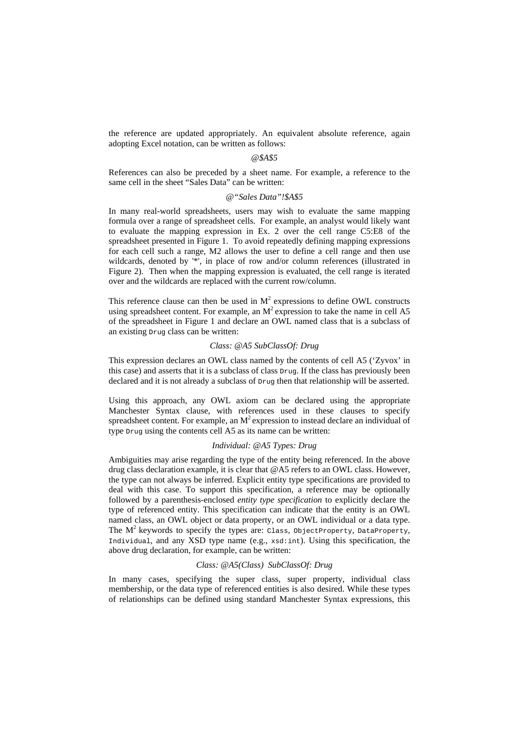the reference are updated appropriately. An equivalent absolute reference, again adopting Excel notation, can be written as follows:

#### *@\$A\$5*

References can also be preceded by a sheet name. For example, a reference to the same cell in the sheet "Sales Data" can be written:

#### *@"Sales Data"!\$A\$5*

In many real-world spreadsheets, users may wish to evaluate the same mapping formula over a range of spreadsheet cells. For example, an analyst would likely want to evaluate the mapping expression in Ex. 2 over the cell range C5:E8 of the spreadsheet presented in Figure 1. To avoid repeatedly defining mapping expressions for each cell such a range, M2 allows the user to define a cell range and then use wildcards, denoted by '\*', in place of row and/or column references (illustrated in Figure 2). Then when the mapping expression is evaluated, the cell range is iterated over and the wildcards are replaced with the current row/column.

This reference clause can then be used in  $M<sup>2</sup>$  expressions to define OWL constructs using spreadsheet content. For example, an  $M^2$  expression to take the name in cell A5 of the spreadsheet in Figure 1 and declare an OWL named class that is a subclass of an existing Drug class can be written:

#### *Class: @A5 SubClassOf: Drug*

This expression declares an OWL class named by the contents of cell A5 ('Zyvox' in this case) and asserts that it is a subclass of class Drug. If the class has previously been declared and it is not already a subclass of Drug then that relationship will be asserted.

Using this approach, any OWL axiom can be declared using the appropriate Manchester Syntax clause, with references used in these clauses to specify spreadsheet content. For example, an  $M<sup>2</sup>$  expression to instead declare an individual of type Drug using the contents cell A5 as its name can be written:

## *Individual: @A5 Types: Drug*

Ambiguities may arise regarding the type of the entity being referenced. In the above drug class declaration example, it is clear that @A5 refers to an OWL class. However, the type can not always be inferred. Explicit entity type specifications are provided to deal with this case. To support this specification, a reference may be optionally followed by a parenthesis-enclosed *entity type specification* to explicitly declare the type of referenced entity. This specification can indicate that the entity is an OWL named class, an OWL object or data property, or an OWL individual or a data type. The  $M^2$  keywords to specify the types are: Class, ObjectProperty, DataProperty, Individual, and any XSD type name (e.g.,  $xsd:int$ ). Using this specification, the above drug declaration, for example, can be written:

#### *Class: @A5(Class) SubClassOf: Drug*

In many cases, specifying the super class, super property, individual class membership, or the data type of referenced entities is also desired. While these types of relationships can be defined using standard Manchester Syntax expressions, this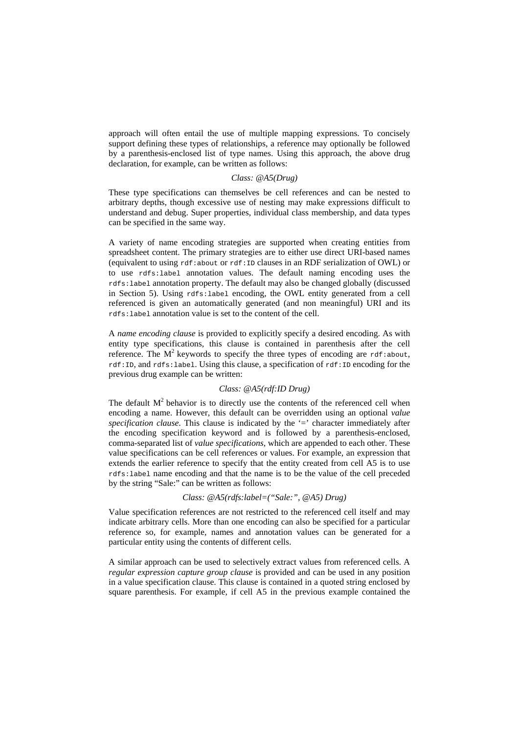approach will often entail the use of multiple mapping expressions. To concisely support defining these types of relationships, a reference may optionally be followed by a parenthesis-enclosed list of type names. Using this approach, the above drug declaration, for example, can be written as follows:

## *Class: @A5(Drug)*

These type specifications can themselves be cell references and can be nested to arbitrary depths, though excessive use of nesting may make expressions difficult to understand and debug. Super properties, individual class membership, and data types can be specified in the same way.

A variety of name encoding strategies are supported when creating entities from spreadsheet content. The primary strategies are to either use direct URI-based names (equivalent to using rdf:about or rdf:ID clauses in an RDF serialization of OWL) or to use rdfs:label annotation values. The default naming encoding uses the rdfs:label annotation property. The default may also be changed globally (discussed in Section 5). Using rdfs:label encoding, the OWL entity generated from a cell referenced is given an automatically generated (and non meaningful) URI and its rdfs:label annotation value is set to the content of the cell.

A *name encoding clause* is provided to explicitly specify a desired encoding. As with entity type specifications, this clause is contained in parenthesis after the cell reference. The  $M^2$  keywords to specify the three types of encoding are rdf:about, rdf:ID, and rdfs:label. Using this clause, a specification of rdf:ID encoding for the previous drug example can be written:

#### *Class: @A5(rdf:ID Drug)*

The default  $M<sup>2</sup>$  behavior is to directly use the contents of the referenced cell when encoding a name. However, this default can be overridden using an optional *value specification clause*. This clause is indicated by the '=' character immediately after the encoding specification keyword and is followed by a parenthesis-enclosed, comma-separated list of *value specifications*, which are appended to each other. These value specifications can be cell references or values. For example, an expression that extends the earlier reference to specify that the entity created from cell A5 is to use rdfs:label name encoding and that the name is to be the value of the cell preceded by the string "Sale:" can be written as follows:

#### *Class: @A5(rdfs:label=("Sale:", @A5) Drug)*

Value specification references are not restricted to the referenced cell itself and may indicate arbitrary cells. More than one encoding can also be specified for a particular reference so, for example, names and annotation values can be generated for a particular entity using the contents of different cells.

A similar approach can be used to selectively extract values from referenced cells. A *regular expression capture group clause* is provided and can be used in any position in a value specification clause. This clause is contained in a quoted string enclosed by square parenthesis. For example, if cell A5 in the previous example contained the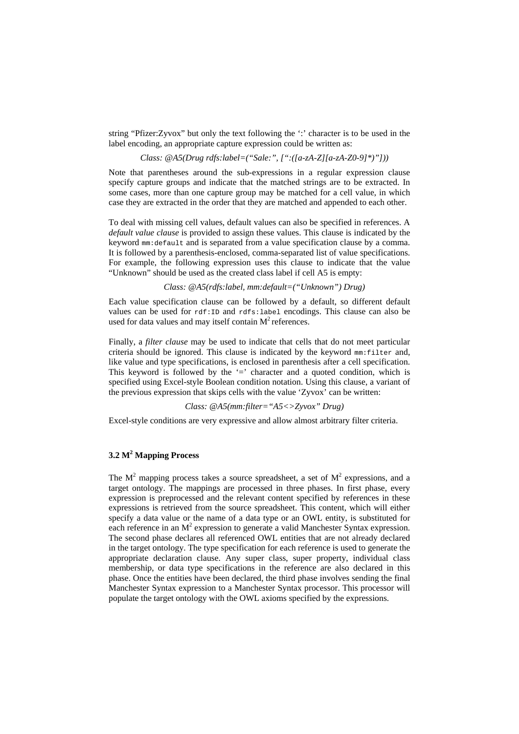string "Pfizer:Zyvox" but only the text following the ':' character is to be used in the label encoding, an appropriate capture expression could be written as:

## *Class: @A5(Drug rdfs:label=("Sale:", [":([a-zA-Z][a-zA-Z0-9]\*)"]))*

Note that parentheses around the sub-expressions in a regular expression clause specify capture groups and indicate that the matched strings are to be extracted. In some cases, more than one capture group may be matched for a cell value, in which case they are extracted in the order that they are matched and appended to each other.

To deal with missing cell values, default values can also be specified in references. A *default value clause* is provided to assign these values. This clause is indicated by the keyword mm:default and is separated from a value specification clause by a comma. It is followed by a parenthesis-enclosed, comma-separated list of value specifications. For example, the following expression uses this clause to indicate that the value "Unknown" should be used as the created class label if cell A5 is empty:

*Class: @A5(rdfs:label, mm:default=("Unknown") Drug)* 

Each value specification clause can be followed by a default, so different default values can be used for rdf:ID and rdfs:label encodings. This clause can also be used for data values and may itself contain  $M<sup>2</sup>$  references.

Finally, a *filter clause* may be used to indicate that cells that do not meet particular criteria should be ignored. This clause is indicated by the keyword mm:filter and, like value and type specifications, is enclosed in parenthesis after a cell specification. This keyword is followed by the  $\equiv$  character and a quoted condition, which is specified using Excel-style Boolean condition notation. Using this clause, a variant of the previous expression that skips cells with the value 'Zyvox' can be written:

## *Class: @A5(mm:filter="A5<>Zyvox" Drug)*

Excel-style conditions are very expressive and allow almost arbitrary filter criteria.

## **3.2 M2 Mapping Process**

The  $M^2$  mapping process takes a source spreadsheet, a set of  $M^2$  expressions, and a target ontology. The mappings are processed in three phases. In first phase, every expression is preprocessed and the relevant content specified by references in these expressions is retrieved from the source spreadsheet. This content, which will either specify a data value or the name of a data type or an OWL entity, is substituted for each reference in an  $M<sup>2</sup>$  expression to generate a valid Manchester Syntax expression. The second phase declares all referenced OWL entities that are not already declared in the target ontology. The type specification for each reference is used to generate the appropriate declaration clause. Any super class, super property, individual class membership, or data type specifications in the reference are also declared in this phase. Once the entities have been declared, the third phase involves sending the final Manchester Syntax expression to a Manchester Syntax processor. This processor will populate the target ontology with the OWL axioms specified by the expressions.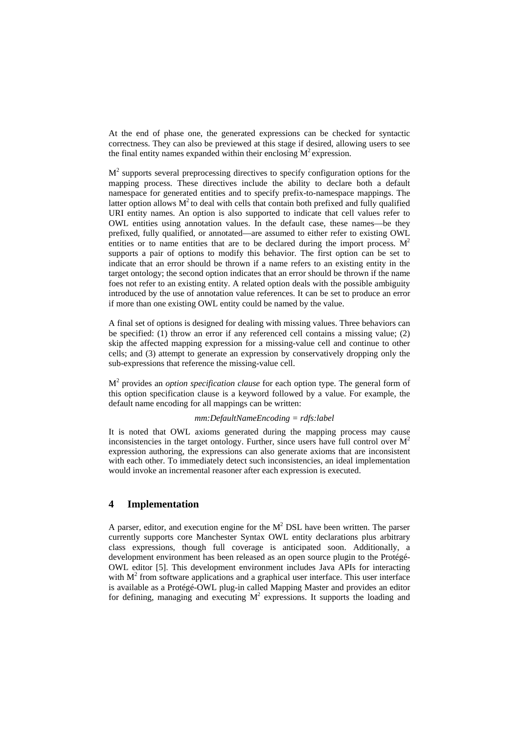At the end of phase one, the generated expressions can be checked for syntactic correctness. They can also be previewed at this stage if desired, allowing users to see the final entity names expanded within their enclosing  $M^2$  expression.

 $M<sup>2</sup>$  supports several preprocessing directives to specify configuration options for the mapping process. These directives include the ability to declare both a default namespace for generated entities and to specify prefix-to-namespace mappings. The latter option allows  $M^2$  to deal with cells that contain both prefixed and fully qualified URI entity names. An option is also supported to indicate that cell values refer to OWL entities using annotation values. In the default case, these names—be they prefixed, fully qualified, or annotated—are assumed to either refer to existing OWL entities or to name entities that are to be declared during the import process.  $M<sup>2</sup>$ supports a pair of options to modify this behavior. The first option can be set to indicate that an error should be thrown if a name refers to an existing entity in the target ontology; the second option indicates that an error should be thrown if the name foes not refer to an existing entity. A related option deals with the possible ambiguity introduced by the use of annotation value references. It can be set to produce an error if more than one existing OWL entity could be named by the value.

A final set of options is designed for dealing with missing values. Three behaviors can be specified: (1) throw an error if any referenced cell contains a missing value; (2) skip the affected mapping expression for a missing-value cell and continue to other cells; and (3) attempt to generate an expression by conservatively dropping only the sub-expressions that reference the missing-value cell.

M2 provides an *option specification clause* for each option type. The general form of this option specification clause is a keyword followed by a value. For example, the default name encoding for all mappings can be written:

#### *mm:DefaultNameEncoding = rdfs:label*

It is noted that OWL axioms generated during the mapping process may cause inconsistencies in the target ontology. Further, since users have full control over  $M<sup>2</sup>$ expression authoring, the expressions can also generate axioms that are inconsistent with each other. To immediately detect such inconsistencies, an ideal implementation would invoke an incremental reasoner after each expression is executed.

# **4 Implementation**

A parser, editor, and execution engine for the  $M<sup>2</sup>$  DSL have been written. The parser currently supports core Manchester Syntax OWL entity declarations plus arbitrary class expressions, though full coverage is anticipated soon. Additionally, a development environment has been released as an open source plugin to the Protégé-OWL editor [5]. This development environment includes Java APIs for interacting with  $M<sup>2</sup>$  from software applications and a graphical user interface. This user interface is available as a Protégé-OWL plug-in called Mapping Master and provides an editor for defining, managing and executing  $M^2$  expressions. It supports the loading and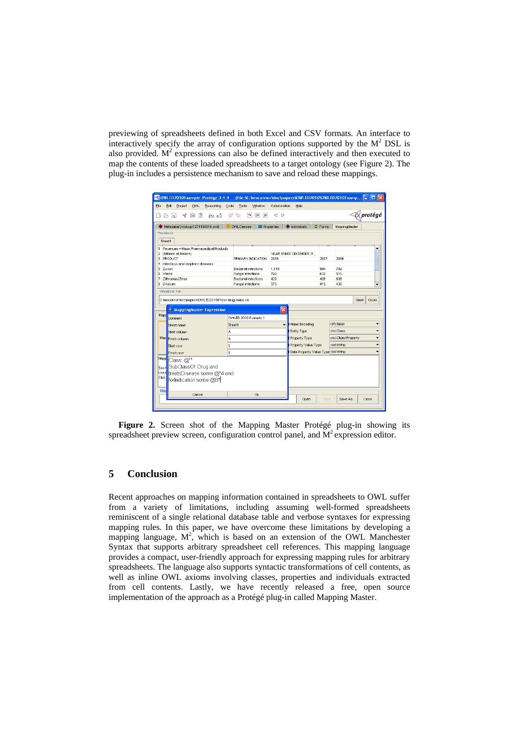previewing of spreadsheets defined in both Excel and CSV formats. An interface to interactively specify the array of configuration options supported by the  $M<sup>2</sup>$  DSL is also provided.  $M^2$  expressions can also be defined interactively and then executed to map the contents of these loaded spreadsheets to a target ontology (see Figure 2). The plug-in includes a persistence mechanism to save and reload these mappings.

|                                                                      | OWLED2010Example Protégé 3.4.4 (file:\C:\moconnor\doc\papers\OWLED2010\OWLED2010Examp |                                              |                |                    | 11 - 11 X |
|----------------------------------------------------------------------|---------------------------------------------------------------------------------------|----------------------------------------------|----------------|--------------------|-----------|
| Eile<br>Edit<br>Project<br>OVVL<br>Reasoning                         | Code<br>Tools<br>Window                                                               | Collaboration<br>Help                        |                |                    |           |
| 傐<br>鳯<br>of<br>n<br>函凸<br>ட்                                        | V<br>$\overline{?}$<br>$\Box$<br>$\overline{D}$                                       | $\langle$ $>$                                |                |                    | protégé   |
| Metadata(Ontology1271104819.owf)                                     | <b>OVALClasses</b>                                                                    | <b>Properties</b><br>$\bigoplus$ Individuals | $\equiv$ Forms | MappingMaster      |           |
| Workbook                                                             |                                                                                       |                                              |                |                    |           |
| Sheet1                                                               |                                                                                       |                                              |                |                    |           |
| Revenues-Major Pharmaceutical Products<br>1<br>(Millions of Dollars) |                                                                                       |                                              |                |                    |           |
| 12<br>lз<br>PRODUCT                                                  | PRIMARY INDICATION                                                                    | YEAR ENDED DECEMBER 31,<br>2008              | 2007           | 2006               |           |
| Infectious and respitory diseases<br>4                               |                                                                                       |                                              |                |                    |           |
| 5<br>Zyvox                                                           | Bacterial infections                                                                  | 1,115                                        | 944            | 782                |           |
| 6<br>Vfend                                                           | Fungal infections                                                                     | 743                                          | 632            | 515                |           |
| Zithromax/Zmax<br>17<br>l8<br>Difulcan                               | <b>Bacterial infections</b><br>Fungal infections                                      | 429<br>373                                   | 438<br>415     | 638<br>435         |           |
| C:\moconnor\doc\papers\OWLED2010\Pfizer drug sales.xls               |                                                                                       |                                              |                |                    | Open      |
| MappingMaster Expression<br>Comment                                  | OVALED 2010 Example 1                                                                 | $\times$                                     |                |                    |           |
| Sheet name                                                           | Sheet1                                                                                | Name Encoding                                |                | rdfs:label         |           |
| Start column                                                         | A                                                                                     | Entity Type                                  |                | owtClass           |           |
|                                                                      | A                                                                                     | Froperty Type                                |                | owt ObjectProperty |           |
| Start row                                                            | 5                                                                                     | Property Value Type                          |                | xsd:string         |           |
| Mapp<br>Map Finish column<br>Finish row                              | 5                                                                                     | Data Property Value Type xsd:string          |                |                    | Close     |
| Mapp<br>Class: @**                                                   |                                                                                       |                                              |                |                    |           |
| SubClassOf: Drug and                                                 |                                                                                       |                                              |                |                    |           |
| See I<br>Use t                                                       |                                                                                       |                                              |                |                    |           |
| treatsDisease some @*4 and<br>Click                                  |                                                                                       |                                              |                |                    |           |
| forIndication some @B*                                               |                                                                                       |                                              |                |                    |           |
| -Map<br>Cancel                                                       | Ok                                                                                    |                                              |                |                    |           |

**Figure 2.** Screen shot of the Mapping Master Protégé plug-in showing its spreadsheet preview screen, configuration control panel, and  $M<sup>2</sup>$  expression editor.

## **5 Conclusion**

Recent approaches on mapping information contained in spreadsheets to OWL suffer from a variety of limitations, including assuming well-formed spreadsheets reminiscent of a single relational database table and verbose syntaxes for expressing mapping rules. In this paper, we have overcome these limitations by developing a mapping language,  $M^2$ , which is based on an extension of the OWL Manchester Syntax that supports arbitrary spreadsheet cell references. This mapping language provides a compact, user-friendly approach for expressing mapping rules for arbitrary spreadsheets. The language also supports syntactic transformations of cell contents, as well as inline OWL axioms involving classes, properties and individuals extracted from cell contents. Lastly, we have recently released a free, open source implementation of the approach as a Protégé plug-in called Mapping Master.